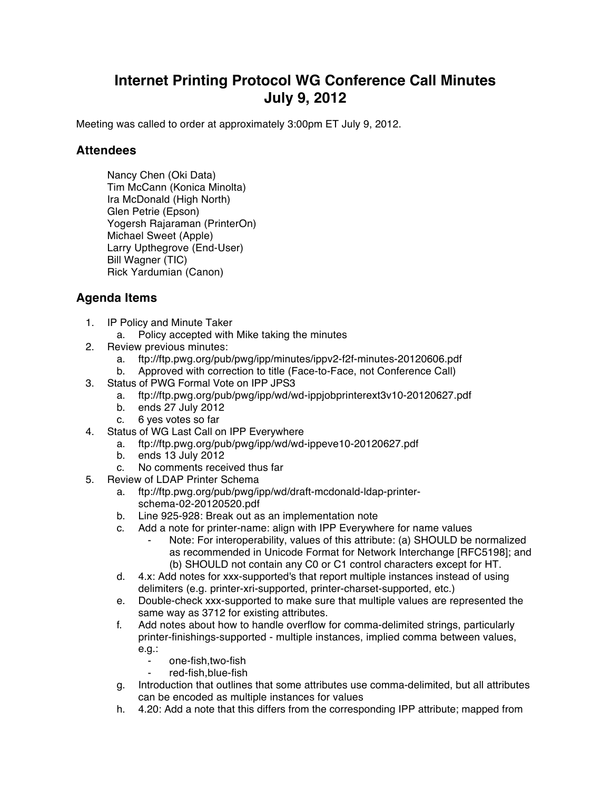## **Internet Printing Protocol WG Conference Call Minutes July 9, 2012**

Meeting was called to order at approximately 3:00pm ET July 9, 2012.

## **Attendees**

Nancy Chen (Oki Data) Tim McCann (Konica Minolta) Ira McDonald (High North) Glen Petrie (Epson) Yogersh Rajaraman (PrinterOn) Michael Sweet (Apple) Larry Upthegrove (End-User) Bill Wagner (TIC) Rick Yardumian (Canon)

## **Agenda Items**

- 1. IP Policy and Minute Taker
	- a. Policy accepted with Mike taking the minutes
- 2. Review previous minutes:
	- a. ftp://ftp.pwg.org/pub/pwg/ipp/minutes/ippv2-f2f-minutes-20120606.pdf
	- b. Approved with correction to title (Face-to-Face, not Conference Call)
- 3. Status of PWG Formal Vote on IPP JPS3
	- a. ftp://ftp.pwg.org/pub/pwg/ipp/wd/wd-ippjobprinterext3v10-20120627.pdf
	- b. ends 27 July 2012
	- c. 6 yes votes so far
- 4. Status of WG Last Call on IPP Everywhere
	- a. ftp://ftp.pwg.org/pub/pwg/ipp/wd/wd-ippeve10-20120627.pdf
	- b. ends 13 July 2012
	- c. No comments received thus far
- 5. Review of LDAP Printer Schema
	- a. ftp://ftp.pwg.org/pub/pwg/ipp/wd/draft-mcdonald-ldap-printerschema-02-20120520.pdf
	- b. Line 925-928: Break out as an implementation note
	- c. Add a note for printer-name: align with IPP Everywhere for name values
		- Note: For interoperability, values of this attribute: (a) SHOULD be normalized as recommended in Unicode Format for Network Interchange [RFC5198]; and (b) SHOULD not contain any C0 or C1 control characters except for HT.
	- d. 4.x: Add notes for xxx-supported's that report multiple instances instead of using delimiters (e.g. printer-xri-supported, printer-charset-supported, etc.)
	- e. Double-check xxx-supported to make sure that multiple values are represented the same way as 3712 for existing attributes.
	- f. Add notes about how to handle overflow for comma-delimited strings, particularly printer-finishings-supported - multiple instances, implied comma between values, e.g.:
		- ⁃ one-fish,two-fish
		- red-fish, blue-fish
	- g. Introduction that outlines that some attributes use comma-delimited, but all attributes can be encoded as multiple instances for values
	- h. 4.20: Add a note that this differs from the corresponding IPP attribute; mapped from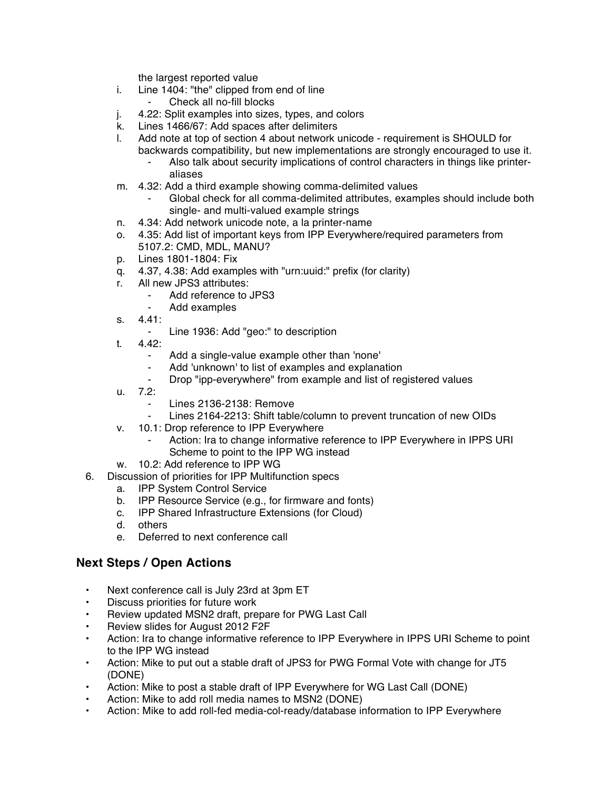the largest reported value

- i. Line 1404: "the" clipped from end of line
	- ⁃ Check all no-fill blocks
- j. 4.22: Split examples into sizes, types, and colors
- k. Lines 1466/67: Add spaces after delimiters
- l. Add note at top of section 4 about network unicode requirement is SHOULD for
	- backwards compatibility, but new implementations are strongly encouraged to use it. Also talk about security implications of control characters in things like printeraliases
- m. 4.32: Add a third example showing comma-delimited values
	- Global check for all comma-delimited attributes, examples should include both single- and multi-valued example strings
- n. 4.34: Add network unicode note, a la printer-name
- o. 4.35: Add list of important keys from IPP Everywhere/required parameters from 5107.2: CMD, MDL, MANU?
- p. Lines 1801-1804: Fix
- q. 4.37, 4.38: Add examples with "urn:uuid:" prefix (for clarity)
- r. All new JPS3 attributes:
	- Add reference to JPS3
	- Add examples
- s. 4.41:
	- ⁃ Line 1936: Add "geo:" to description
- t. 4.42:
	- ⁃ Add a single-value example other than 'none'
	- ⁃ Add 'unknown' to list of examples and explanation
	- Drop "ipp-everywhere" from example and list of registered values
- u. 7.2:
	- Lines 2136-2138: Remove
	- Lines 2164-2213: Shift table/column to prevent truncation of new OIDs
- v. 10.1: Drop reference to IPP Everywhere
	- Action: Ira to change informative reference to IPP Everywhere in IPPS URI Scheme to point to the IPP WG instead
- w. 10.2: Add reference to IPP WG
- 6. Discussion of priorities for IPP Multifunction specs
	- a. IPP System Control Service
	- b. IPP Resource Service (e.g., for firmware and fonts)
	- c. IPP Shared Infrastructure Extensions (for Cloud)
	- d. others
	- e. Deferred to next conference call

## **Next Steps / Open Actions**

- Next conference call is July 23rd at 3pm ET
- Discuss priorities for future work
- Review updated MSN2 draft, prepare for PWG Last Call
- Review slides for August 2012 F2F
- Action: Ira to change informative reference to IPP Everywhere in IPPS URI Scheme to point to the IPP WG instead
- Action: Mike to put out a stable draft of JPS3 for PWG Formal Vote with change for JT5 (DONE)
- Action: Mike to post a stable draft of IPP Everywhere for WG Last Call (DONE)
- Action: Mike to add roll media names to MSN2 (DONE)
- Action: Mike to add roll-fed media-col-ready/database information to IPP Everywhere